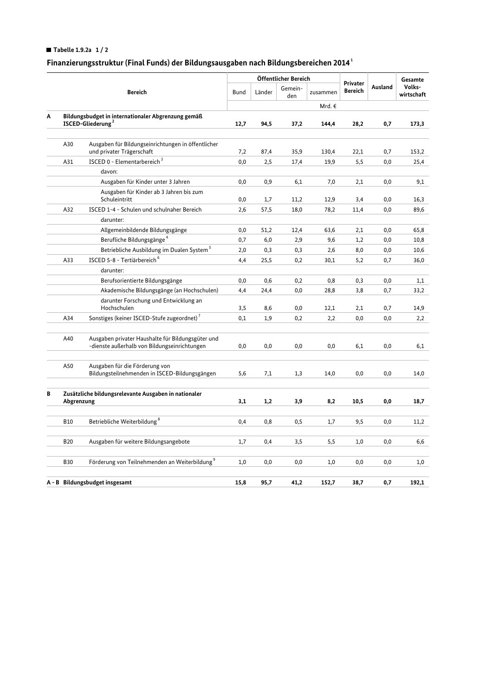## Tabelle 1.9.2a  $1/2$

## Finanzierungsstruktur (Final Funds) der Bildungsausgaben nach Bildungsbereichen 2014 $^{\rm 1}$

|                                |                                                                                     |                                                                                                   |             | Öffentlicher Bereich |                |          |                            |         | Gesamte              |
|--------------------------------|-------------------------------------------------------------------------------------|---------------------------------------------------------------------------------------------------|-------------|----------------------|----------------|----------|----------------------------|---------|----------------------|
|                                | <b>Bereich</b>                                                                      |                                                                                                   | <b>Bund</b> | Länder               | Gemein-<br>den | zusammen | Privater<br><b>Bereich</b> | Ausland | Volks-<br>wirtschaft |
|                                |                                                                                     |                                                                                                   |             |                      |                | Mrd. €   |                            |         |                      |
| Α                              | Bildungsbudget in internationaler Abgrenzung gemäß<br>ISCED-Gliederung <sup>2</sup> |                                                                                                   | 12,7        | 94,5                 | 37,2           | 144,4    | 28,2                       | 0,7     | 173,3                |
|                                |                                                                                     |                                                                                                   |             |                      |                |          |                            |         |                      |
|                                | A30                                                                                 | Ausgaben für Bildungseinrichtungen in öffentlicher<br>und privater Trägerschaft                   | 7,2         | 87,4                 | 35,9           | 130,4    | 22,1                       | 0,7     | 153,2                |
|                                | A31                                                                                 | ISCED 0 - Elementarbereich <sup>3</sup>                                                           | 0,0         | 2,5                  | 17,4           | 19,9     | 5,5                        | 0,0     | 25,4                 |
|                                |                                                                                     | davon:                                                                                            |             |                      |                |          |                            |         |                      |
|                                |                                                                                     | Ausgaben für Kinder unter 3 Jahren                                                                | 0,0         | 0,9                  | 6,1            | 7,0      | 2,1                        | 0,0     | 9,1                  |
|                                |                                                                                     | Ausgaben für Kinder ab 3 Jahren bis zum<br>Schuleintritt                                          | 0,0         | 1,7                  | 11,2           | 12,9     | 3,4                        | 0,0     | 16,3                 |
|                                | A32                                                                                 | ISCED 1-4 - Schulen und schulnaher Bereich                                                        | 2,6         | 57,5                 | 18,0           | 78,2     | 11,4                       | 0,0     | 89,6                 |
|                                |                                                                                     | darunter:                                                                                         |             |                      |                |          |                            |         |                      |
|                                |                                                                                     | Allgemeinbildende Bildungsgänge                                                                   | 0,0         | 51,2                 | 12,4           | 63,6     | 2,1                        | 0,0     | 65,8                 |
|                                |                                                                                     | Berufliche Bildungsgänge <sup>4</sup>                                                             | 0,7         | 6,0                  | 2,9            | 9,6      | 1,2                        | 0,0     | 10,8                 |
|                                |                                                                                     | Betriebliche Ausbildung im Dualen System <sup>5</sup>                                             | 2,0         | 0,3                  | 0,3            | 2,6      | 8,0                        | 0,0     | 10,6                 |
|                                | A33                                                                                 | ISCED 5-8 - Tertiärbereich <sup>6</sup>                                                           | 4,4         | 25,5                 | 0,2            | 30,1     | 5,2                        | 0,7     | 36,0                 |
|                                |                                                                                     | darunter:                                                                                         |             |                      |                |          |                            |         |                      |
|                                |                                                                                     | Berufsorientierte Bildungsgänge                                                                   | 0,0         | 0,6                  | 0,2            | 0,8      | 0,3                        | 0,0     | 1,1                  |
|                                |                                                                                     | Akademische Bildungsgänge (an Hochschulen)                                                        | 4,4         | 24,4                 | 0,0            | 28,8     | 3,8                        | 0,7     | 33,2                 |
|                                |                                                                                     | darunter Forschung und Entwicklung an                                                             |             |                      |                |          |                            |         |                      |
|                                |                                                                                     | Hochschulen                                                                                       | 3,5         | 8,6                  | 0,0            | 12,1     | 2,1                        | 0,7     | 14,9                 |
|                                | A34                                                                                 | Sonstiges (keiner ISCED-Stufe zugeordnet) <sup>7</sup>                                            | 0,1         | 1,9                  | 0,2            | 2,2      | 0,0                        | 0,0     | 2,2                  |
|                                | A40                                                                                 | Ausgaben privater Haushalte für Bildungsgüter und<br>-dienste außerhalb von Bildungseinrichtungen | $_{0,0}$    | 0,0                  | 0,0            | 0,0      | 6,1                        | 0,0     | 6,1                  |
|                                | A50                                                                                 | Ausgaben für die Förderung von<br>Bildungsteilnehmenden in ISCED-Bildungsgängen                   | 5,6         | 7,1                  | 1,3            | 14,0     | 0,0                        | 0,0     | 14,0                 |
| В                              | Zusätzliche bildungsrelevante Ausgaben in nationaler<br>Abgrenzung                  |                                                                                                   | 3,1         | 1,2                  | 3,9            | 8,2      | 10,5                       | 0,0     | 18,7                 |
|                                |                                                                                     |                                                                                                   |             |                      |                |          |                            |         |                      |
|                                | <b>B10</b>                                                                          | Betriebliche Weiterbildung <sup>8</sup>                                                           | 0,4         | 0,8                  | 0,5            | 1,7      | 9,5                        | 0,0     | 11,2                 |
|                                | <b>B20</b>                                                                          | Ausgaben für weitere Bildungsangebote                                                             | 1,7         | 0,4                  | 3,5            | 5,5      | 1,0                        | 0,0     | 6,6                  |
|                                | <b>B30</b>                                                                          | Förderung von Teilnehmenden an Weiterbildung <sup>9</sup>                                         | 1,0         | 0,0                  | 0,0            | 1,0      | 0,0                        | 0,0     | 1,0                  |
|                                |                                                                                     |                                                                                                   |             |                      |                |          |                            |         |                      |
| A - B Bildungsbudget insgesamt |                                                                                     |                                                                                                   | 15,8        | 95,7                 | 41,2           | 152.7    | 38.7                       | 0,7     | 192,1                |